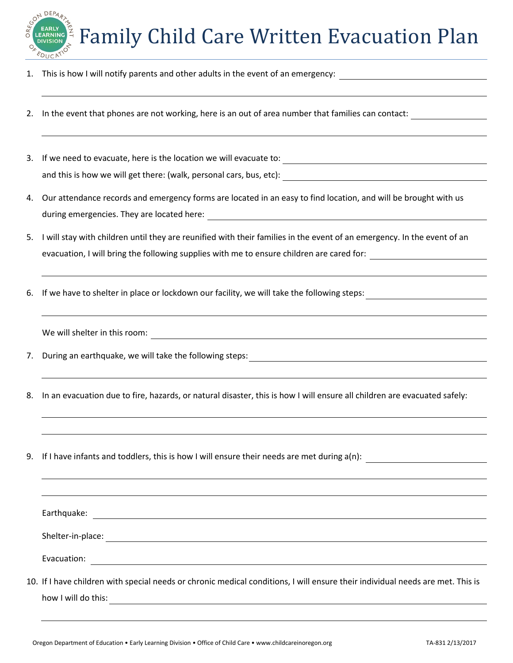ON DEPAR Family Child Care Written Evacuation Plan

- 1. This is how I will notify parents and other adults in the event of an emergency:
- 2. In the event that phones are not working, here is an out of area number that families can contact:
- 3. If we need to evacuate, here is the location we will evacuate to: and this is how we will get there: (walk, personal cars, bus, etc):  $\qquad \qquad \qquad$
- 4. Our attendance records and emergency forms are located in an easy to find location, and will be brought with us during emergencies. They are located here:  $\frac{1}{2}$  and  $\frac{1}{2}$  and  $\frac{1}{2}$  and  $\frac{1}{2}$  and  $\frac{1}{2}$  and  $\frac{1}{2}$  and  $\frac{1}{2}$  and  $\frac{1}{2}$  and  $\frac{1}{2}$  and  $\frac{1}{2}$  and  $\frac{1}{2}$  and  $\frac{1}{2}$  and  $\frac{1}{2}$  a
- 5. I will stay with children until they are reunified with their families in the event of an emergency. In the event of an evacuation, I will bring the following supplies with me to ensure children are cared for:
- 6. If we have to shelter in place or lockdown our facility, we will take the following steps:

We will shelter in this room:

- 7. During an earthquake, we will take the following steps:
- 8. In an evacuation due to fire, hazards, or natural disaster, this is how I will ensure all children are evacuated safely:
- 9. If I have infants and toddlers, this is how I will ensure their needs are met during  $a(n)$ :

| Earthquake:                                                                                                                                                                                                                    | <u> 1980 - Jan Sarajević, politički predsjednik i politički karaljski predsjednik i politički karaljski predsjed</u> |  |  |
|--------------------------------------------------------------------------------------------------------------------------------------------------------------------------------------------------------------------------------|----------------------------------------------------------------------------------------------------------------------|--|--|
| Shelter-in-place: and the contract of the contract of the contract of the contract of the contract of the contract of the contract of the contract of the contract of the contract of the contract of the contract of the cont |                                                                                                                      |  |  |
| Evacuation:                                                                                                                                                                                                                    |                                                                                                                      |  |  |

how I will do this: